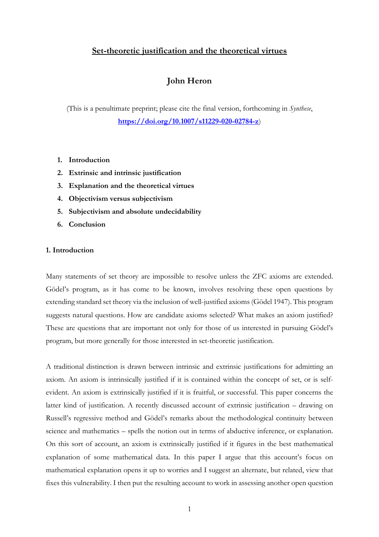## **Set-theoretic justification and the theoretical virtues**

# **John Heron**

(This is a penultimate preprint; please cite the final version, forthcoming in *Synthese*, **https://doi.org/10.1007/s11229-020-02784-z**)

- **1. Introduction**
- **2. Extrinsic and intrinsic justification**
- **3. Explanation and the theoretical virtues**
- **4. Objectivism versus subjectivism**
- **5. Subjectivism and absolute undecidability**
- **6. Conclusion**

### **1. Introduction**

Many statements of set theory are impossible to resolve unless the ZFC axioms are extended. Gödel's program, as it has come to be known, involves resolving these open questions by extending standard set theory via the inclusion of well-justified axioms (Gödel 1947). This program suggests natural questions. How are candidate axioms selected? What makes an axiom justified? These are questions that are important not only for those of us interested in pursuing Gödel's program, but more generally for those interested in set-theoretic justification.

A traditional distinction is drawn between intrinsic and extrinsic justifications for admitting an axiom. An axiom is intrinsically justified if it is contained within the concept of set, or is selfevident. An axiom is extrinsically justified if it is fruitful, or successful. This paper concerns the latter kind of justification. A recently discussed account of extrinsic justification – drawing on Russell's regressive method and Gödel's remarks about the methodological continuity between science and mathematics – spells the notion out in terms of abductive inference, or explanation. On this sort of account, an axiom is extrinsically justified if it figures in the best mathematical explanation of some mathematical data. In this paper I argue that this account's focus on mathematical explanation opens it up to worries and I suggest an alternate, but related, view that fixes this vulnerability. I then put the resulting account to work in assessing another open question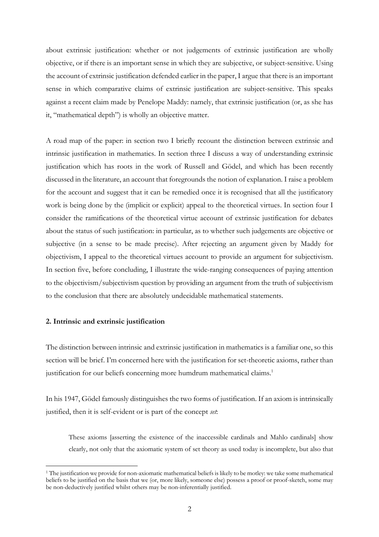about extrinsic justification: whether or not judgements of extrinsic justification are wholly objective, or if there is an important sense in which they are subjective, or subject-sensitive. Using the account of extrinsic justification defended earlier in the paper, I argue that there is an important sense in which comparative claims of extrinsic justification are subject-sensitive. This speaks against a recent claim made by Penelope Maddy: namely, that extrinsic justification (or, as she has it, "mathematical depth") is wholly an objective matter.

A road map of the paper: in section two I briefly recount the distinction between extrinsic and intrinsic justification in mathematics. In section three I discuss a way of understanding extrinsic justification which has roots in the work of Russell and Gödel, and which has been recently discussed in the literature, an account that foregrounds the notion of explanation. I raise a problem for the account and suggest that it can be remedied once it is recognised that all the justificatory work is being done by the (implicit or explicit) appeal to the theoretical virtues. In section four I consider the ramifications of the theoretical virtue account of extrinsic justification for debates about the status of such justification: in particular, as to whether such judgements are objective or subjective (in a sense to be made precise). After rejecting an argument given by Maddy for objectivism, I appeal to the theoretical virtues account to provide an argument for subjectivism. In section five, before concluding, I illustrate the wide-ranging consequences of paying attention to the objectivism/subjectivism question by providing an argument from the truth of subjectivism to the conclusion that there are absolutely undecidable mathematical statements.

#### **2. Intrinsic and extrinsic justification**

The distinction between intrinsic and extrinsic justification in mathematics is a familiar one, so this section will be brief. I'm concerned here with the justification for set-theoretic axioms, rather than justification for our beliefs concerning more humdrum mathematical claims.<sup>1</sup>

In his 1947, Gödel famously distinguishes the two forms of justification. If an axiom is intrinsically justified, then it is self-evident or is part of the concept *set*:

These axioms [asserting the existence of the inaccessible cardinals and Mahlo cardinals] show clearly, not only that the axiomatic system of set theory as used today is incomplete, but also that

<sup>1</sup> The justification we provide for non-axiomatic mathematical beliefs is likely to be motley: we take some mathematical beliefs to be justified on the basis that we (or, more likely, someone else) possess a proof or proof-sketch, some may be non-deductively justified whilst others may be non-inferentially justified.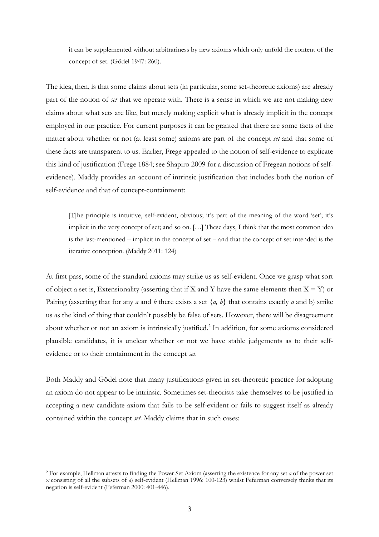it can be supplemented without arbitrariness by new axioms which only unfold the content of the concept of set. (Gödel 1947: 260).

The idea, then, is that some claims about sets (in particular, some set-theoretic axioms) are already part of the notion of *set* that we operate with. There is a sense in which we are not making new claims about what sets are like, but merely making explicit what is already implicit in the concept employed in our practice. For current purposes it can be granted that there are some facts of the matter about whether or not (at least some) axioms are part of the concept *set* and that some of these facts are transparent to us. Earlier, Frege appealed to the notion of self-evidence to explicate this kind of justification (Frege 1884; see Shapiro 2009 for a discussion of Fregean notions of selfevidence). Maddy provides an account of intrinsic justification that includes both the notion of self-evidence and that of concept-containment:

[T]he principle is intuitive, self-evident, obvious; it's part of the meaning of the word 'set'; it's implicit in the very concept of set; and so on. […] These days, I think that the most common idea is the last-mentioned – implicit in the concept of set – and that the concept of set intended is the iterative conception. (Maddy 2011: 124)

At first pass, some of the standard axioms may strike us as self-evident. Once we grasp what sort of object a set is, Extensionality (asserting that if X and Y have the same elements then  $X = Y$ ) or Pairing (asserting that for any *a* and *b* there exists a set {*a, b*} that contains exactly *a* and b) strike us as the kind of thing that couldn't possibly be false of sets. However, there will be disagreement about whether or not an axiom is intrinsically justified.<sup>2</sup> In addition, for some axioms considered plausible candidates, it is unclear whether or not we have stable judgements as to their selfevidence or to their containment in the concept *set*.

Both Maddy and Gödel note that many justifications given in set-theoretic practice for adopting an axiom do not appear to be intrinsic. Sometimes set-theorists take themselves to be justified in accepting a new candidate axiom that fails to be self-evident or fails to suggest itself as already contained within the concept *set*. Maddy claims that in such cases:

<sup>2</sup> For example, Hellman attests to finding the Power Set Axiom (asserting the existence for any set *a* of the power set *x* consisting of all the subsets of *a*) self-evident (Hellman 1996: 100-123) whilst Feferman conversely thinks that its negation is self-evident (Feferman 2000: 401-446).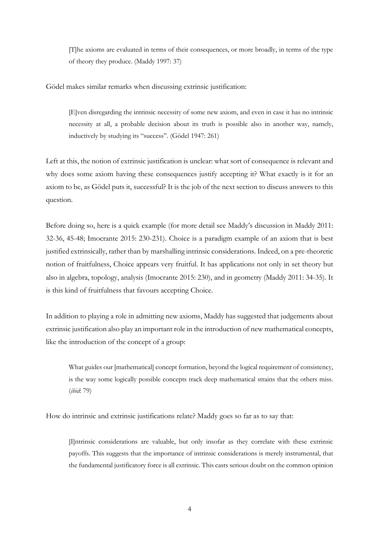[T]he axioms are evaluated in terms of their consequences, or more broadly, in terms of the type of theory they produce. (Maddy 1997: 37)

Gödel makes similar remarks when discussing extrinsic justification:

[E]ven disregarding the intrinsic necessity of some new axiom, and even in case it has no intrinsic necessity at all, a probable decision about its truth is possible also in another way, namely, inductively by studying its "success". (Gödel 1947: 261)

Left at this, the notion of extrinsic justification is unclear: what sort of consequence is relevant and why does some axiom having these consequences justify accepting it? What exactly is it for an axiom to be, as Gödel puts it, successful? It is the job of the next section to discuss answers to this question.

Before doing so, here is a quick example (for more detail see Maddy's discussion in Maddy 2011: 32-36, 45-48; Imocrante 2015: 230-231). Choice is a paradigm example of an axiom that is best justified extrinsically, rather than by marshalling intrinsic considerations. Indeed, on a pre-theoretic notion of fruitfulness, Choice appears very fruitful. It has applications not only in set theory but also in algebra, topology, analysis (Imocrante 2015: 230), and in geometry (Maddy 2011: 34-35). It is this kind of fruitfulness that favours accepting Choice.

In addition to playing a role in admitting new axioms, Maddy has suggested that judgements about extrinsic justification also play an important role in the introduction of new mathematical concepts, like the introduction of the concept of a group:

What guides our [mathematical] concept formation, beyond the logical requirement of consistency, is the way some logically possible concepts track deep mathematical strains that the others miss. (*ibid*: 79)

How do intrinsic and extrinsic justifications relate? Maddy goes so far as to say that:

[I]ntrinsic considerations are valuable, but only insofar as they correlate with these extrinsic payoffs. This suggests that the importance of intrinsic considerations is merely instrumental, that the fundamental justificatory force is all extrinsic. This casts serious doubt on the common opinion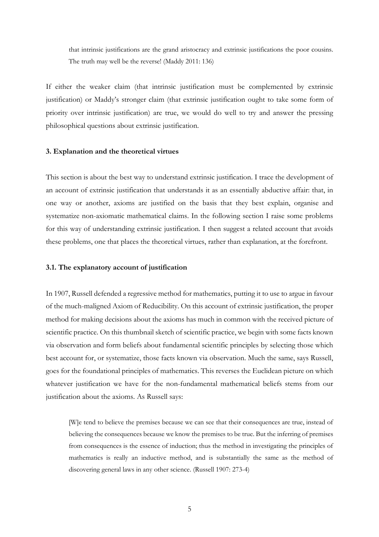that intrinsic justifications are the grand aristocracy and extrinsic justifications the poor cousins. The truth may well be the reverse! (Maddy 2011: 136)

If either the weaker claim (that intrinsic justification must be complemented by extrinsic justification) or Maddy's stronger claim (that extrinsic justification ought to take some form of priority over intrinsic justification) are true, we would do well to try and answer the pressing philosophical questions about extrinsic justification.

### **3. Explanation and the theoretical virtues**

This section is about the best way to understand extrinsic justification. I trace the development of an account of extrinsic justification that understands it as an essentially abductive affair: that, in one way or another, axioms are justified on the basis that they best explain, organise and systematize non-axiomatic mathematical claims. In the following section I raise some problems for this way of understanding extrinsic justification. I then suggest a related account that avoids these problems, one that places the theoretical virtues, rather than explanation, at the forefront.

### **3.1. The explanatory account of justification**

In 1907, Russell defended a regressive method for mathematics, putting it to use to argue in favour of the much-maligned Axiom of Reducibility. On this account of extrinsic justification, the proper method for making decisions about the axioms has much in common with the received picture of scientific practice. On this thumbnail sketch of scientific practice, we begin with some facts known via observation and form beliefs about fundamental scientific principles by selecting those which best account for, or systematize, those facts known via observation. Much the same, says Russell, goes for the foundational principles of mathematics. This reverses the Euclidean picture on which whatever justification we have for the non-fundamental mathematical beliefs stems from our justification about the axioms. As Russell says:

[W]e tend to believe the premises because we can see that their consequences are true, instead of believing the consequences because we know the premises to be true. But the inferring of premises from consequences is the essence of induction; thus the method in investigating the principles of mathematics is really an inductive method, and is substantially the same as the method of discovering general laws in any other science. (Russell 1907: 273-4)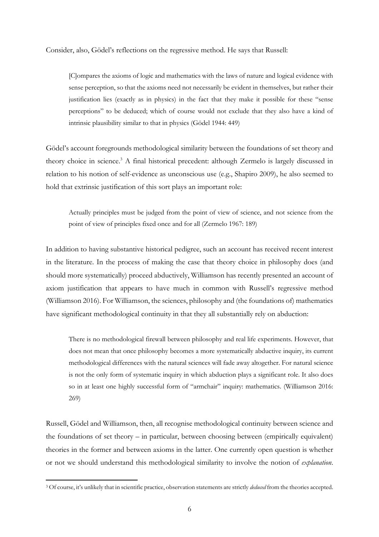Consider, also, Gödel's reflections on the regressive method. He says that Russell:

[C]ompares the axioms of logic and mathematics with the laws of nature and logical evidence with sense perception, so that the axioms need not necessarily be evident in themselves, but rather their justification lies (exactly as in physics) in the fact that they make it possible for these "sense perceptions" to be deduced; which of course would not exclude that they also have a kind of intrinsic plausibility similar to that in physics (Gödel 1944: 449)

Gödel's account foregrounds methodological similarity between the foundations of set theory and theory choice in science.<sup>3</sup> A final historical precedent: although Zermelo is largely discussed in relation to his notion of self-evidence as unconscious use (e.g., Shapiro 2009), he also seemed to hold that extrinsic justification of this sort plays an important role:

Actually principles must be judged from the point of view of science, and not science from the point of view of principles fixed once and for all (Zermelo 1967: 189)

In addition to having substantive historical pedigree, such an account has received recent interest in the literature. In the process of making the case that theory choice in philosophy does (and should more systematically) proceed abductively, Williamson has recently presented an account of axiom justification that appears to have much in common with Russell's regressive method (Williamson 2016). For Williamson, the sciences, philosophy and (the foundations of) mathematics have significant methodological continuity in that they all substantially rely on abduction:

There is no methodological firewall between philosophy and real life experiments. However, that does not mean that once philosophy becomes a more systematically abductive inquiry, its current methodological differences with the natural sciences will fade away altogether. For natural science is not the only form of systematic inquiry in which abduction plays a significant role. It also does so in at least one highly successful form of "armchair" inquiry: mathematics. (Williamson 2016: 269)

Russell, Gödel and Williamson, then, all recognise methodological continuity between science and the foundations of set theory – in particular, between choosing between (empirically equivalent) theories in the former and between axioms in the latter. One currently open question is whether or not we should understand this methodological similarity to involve the notion of *explanation*.

<sup>3</sup> Of course, it's unlikely that in scientific practice, observation statements are strictly *deduced* from the theories accepted.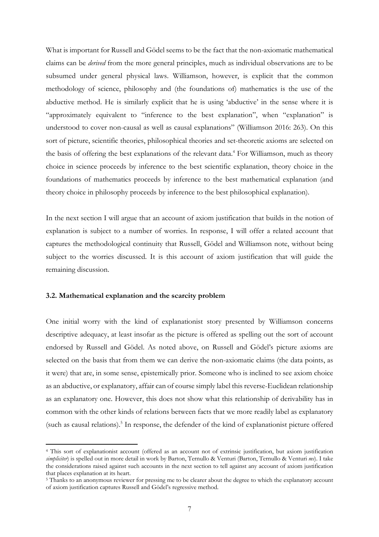What is important for Russell and Gödel seems to be the fact that the non-axiomatic mathematical claims can be *derived* from the more general principles, much as individual observations are to be subsumed under general physical laws. Williamson, however, is explicit that the common methodology of science, philosophy and (the foundations of) mathematics is the use of the abductive method. He is similarly explicit that he is using 'abductive' in the sense where it is "approximately equivalent to "inference to the best explanation", when "explanation" is understood to cover non-causal as well as causal explanations" (Williamson 2016: 263). On this sort of picture, scientific theories, philosophical theories and set-theoretic axioms are selected on the basis of offering the best explanations of the relevant data.<sup>4</sup> For Williamson, much as theory choice in science proceeds by inference to the best scientific explanation, theory choice in the foundations of mathematics proceeds by inference to the best mathematical explanation (and theory choice in philosophy proceeds by inference to the best philosophical explanation).

In the next section I will argue that an account of axiom justification that builds in the notion of explanation is subject to a number of worries. In response, I will offer a related account that captures the methodological continuity that Russell, Gödel and Williamson note, without being subject to the worries discussed. It is this account of axiom justification that will guide the remaining discussion.

### **3.2. Mathematical explanation and the scarcity problem**

One initial worry with the kind of explanationist story presented by Williamson concerns descriptive adequacy, at least insofar as the picture is offered as spelling out the sort of account endorsed by Russell and Gödel. As noted above, on Russell and Gödel's picture axioms are selected on the basis that from them we can derive the non-axiomatic claims (the data points, as it were) that are, in some sense, epistemically prior. Someone who is inclined to see axiom choice as an abductive, or explanatory, affair can of course simply label this reverse-Euclidean relationship as an explanatory one. However, this does not show what this relationship of derivability has in common with the other kinds of relations between facts that we more readily label as explanatory (such as causal relations).<sup>5</sup> In response, the defender of the kind of explanationist picture offered

<sup>4</sup> This sort of explanationist account (offered as an account not of extrinsic justification, but axiom justification *simpliciter*) is spelled out in more detail in work by Barton, Ternullo & Venturi (Barton, Ternullo & Venturi *ms*). I take the considerations raised against such accounts in the next section to tell against any account of axiom justification that places explanation at its heart.

<sup>5</sup> Thanks to an anonymous reviewer for pressing me to be clearer about the degree to which the explanatory account of axiom justification captures Russell and Gödel's regressive method.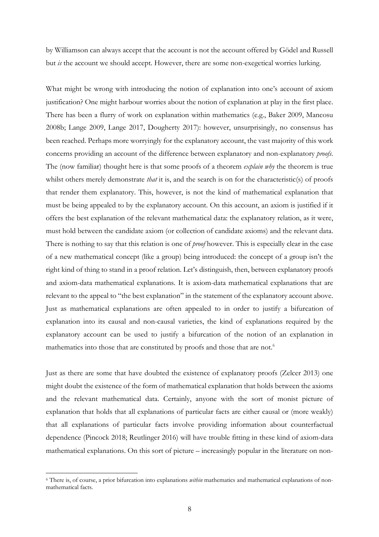by Williamson can always accept that the account is not the account offered by Gödel and Russell but *is* the account we should accept. However, there are some non-exegetical worries lurking.

What might be wrong with introducing the notion of explanation into one's account of axiom justification? One might harbour worries about the notion of explanation at play in the first place. There has been a flurry of work on explanation within mathematics (e.g., Baker 2009, Mancosu 2008b; Lange 2009, Lange 2017, Dougherty 2017): however, unsurprisingly, no consensus has been reached. Perhaps more worryingly for the explanatory account, the vast majority of this work concerns providing an account of the difference between explanatory and non-explanatory *proofs*. The (now familiar) thought here is that some proofs of a theorem *explain why* the theorem is true whilst others merely demonstrate *that* it is, and the search is on for the characteristic(s) of proofs that render them explanatory. This, however, is not the kind of mathematical explanation that must be being appealed to by the explanatory account. On this account, an axiom is justified if it offers the best explanation of the relevant mathematical data: the explanatory relation, as it were, must hold between the candidate axiom (or collection of candidate axioms) and the relevant data. There is nothing to say that this relation is one of *proof* however. This is especially clear in the case of a new mathematical concept (like a group) being introduced: the concept of a group isn't the right kind of thing to stand in a proof relation. Let's distinguish, then, between explanatory proofs and axiom-data mathematical explanations. It is axiom-data mathematical explanations that are relevant to the appeal to "the best explanation" in the statement of the explanatory account above. Just as mathematical explanations are often appealed to in order to justify a bifurcation of explanation into its causal and non-causal varieties, the kind of explanations required by the explanatory account can be used to justify a bifurcation of the notion of an explanation in mathematics into those that are constituted by proofs and those that are not.<sup>6</sup>

Just as there are some that have doubted the existence of explanatory proofs (Zelcer 2013) one might doubt the existence of the form of mathematical explanation that holds between the axioms and the relevant mathematical data. Certainly, anyone with the sort of monist picture of explanation that holds that all explanations of particular facts are either causal or (more weakly) that all explanations of particular facts involve providing information about counterfactual dependence (Pincock 2018; Reutlinger 2016) will have trouble fitting in these kind of axiom-data mathematical explanations. On this sort of picture – increasingly popular in the literature on non-

<sup>6</sup> There is, of course, a prior bifurcation into explanations *within* mathematics and mathematical explanations of nonmathematical facts.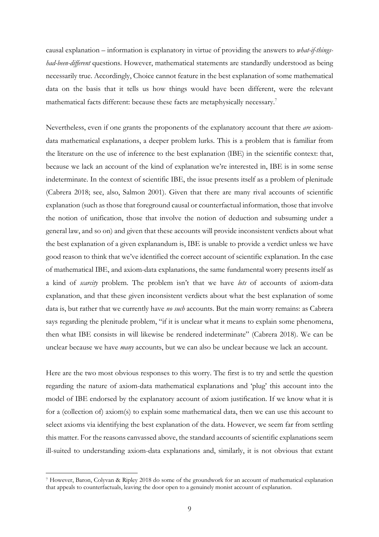causal explanation – information is explanatory in virtue of providing the answers to *what-if-thingshad-been-different* questions. However, mathematical statements are standardly understood as being necessarily true. Accordingly, Choice cannot feature in the best explanation of some mathematical data on the basis that it tells us how things would have been different, were the relevant mathematical facts different: because these facts are metaphysically necessary.<sup>7</sup>

Nevertheless, even if one grants the proponents of the explanatory account that there *are* axiomdata mathematical explanations, a deeper problem lurks. This is a problem that is familiar from the literature on the use of inference to the best explanation (IBE) in the scientific context: that, because we lack an account of the kind of explanation we're interested in, IBE is in some sense indeterminate. In the context of scientific IBE, the issue presents itself as a problem of plenitude (Cabrera 2018; see, also, Salmon 2001). Given that there are many rival accounts of scientific explanation (such as those that foreground causal or counterfactual information, those that involve the notion of unification, those that involve the notion of deduction and subsuming under a general law, and so on) and given that these accounts will provide inconsistent verdicts about what the best explanation of a given explanandum is, IBE is unable to provide a verdict unless we have good reason to think that we've identified the correct account of scientific explanation. In the case of mathematical IBE, and axiom-data explanations, the same fundamental worry presents itself as a kind of *scarcity* problem. The problem isn't that we have *lots* of accounts of axiom-data explanation, and that these given inconsistent verdicts about what the best explanation of some data is, but rather that we currently have *no such* accounts. But the main worry remains: as Cabrera says regarding the plenitude problem, "if it is unclear what it means to explain some phenomena, then what IBE consists in will likewise be rendered indeterminate" (Cabrera 2018). We can be unclear because we have *many* accounts, but we can also be unclear because we lack an account.

Here are the two most obvious responses to this worry. The first is to try and settle the question regarding the nature of axiom-data mathematical explanations and 'plug' this account into the model of IBE endorsed by the explanatory account of axiom justification. If we know what it is for a (collection of) axiom(s) to explain some mathematical data, then we can use this account to select axioms via identifying the best explanation of the data. However, we seem far from settling this matter. For the reasons canvassed above, the standard accounts of scientific explanations seem ill-suited to understanding axiom-data explanations and, similarly, it is not obvious that extant

<sup>7</sup> However, Baron, Colyvan & Ripley 2018 do some of the groundwork for an account of mathematical explanation that appeals to counterfactuals, leaving the door open to a genuinely monist account of explanation.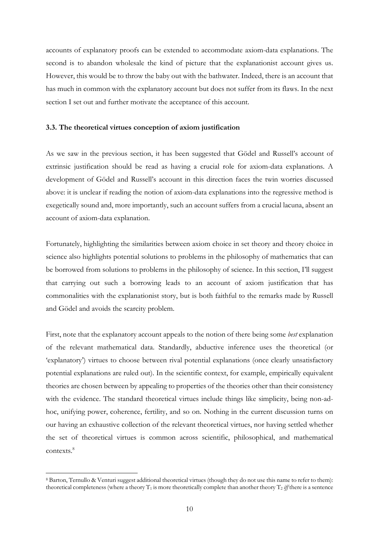accounts of explanatory proofs can be extended to accommodate axiom-data explanations. The second is to abandon wholesale the kind of picture that the explanationist account gives us. However, this would be to throw the baby out with the bathwater. Indeed, there is an account that has much in common with the explanatory account but does not suffer from its flaws. In the next section I set out and further motivate the acceptance of this account.

#### **3.3. The theoretical virtues conception of axiom justification**

As we saw in the previous section, it has been suggested that Gödel and Russell's account of extrinsic justification should be read as having a crucial role for axiom-data explanations. A development of Gödel and Russell's account in this direction faces the twin worries discussed above: it is unclear if reading the notion of axiom-data explanations into the regressive method is exegetically sound and, more importantly, such an account suffers from a crucial lacuna, absent an account of axiom-data explanation.

Fortunately, highlighting the similarities between axiom choice in set theory and theory choice in science also highlights potential solutions to problems in the philosophy of mathematics that can be borrowed from solutions to problems in the philosophy of science. In this section, I'll suggest that carrying out such a borrowing leads to an account of axiom justification that has commonalities with the explanationist story, but is both faithful to the remarks made by Russell and Gödel and avoids the scarcity problem.

First, note that the explanatory account appeals to the notion of there being some *best* explanation of the relevant mathematical data. Standardly, abductive inference uses the theoretical (or 'explanatory') virtues to choose between rival potential explanations (once clearly unsatisfactory potential explanations are ruled out). In the scientific context, for example, empirically equivalent theories are chosen between by appealing to properties of the theories other than their consistency with the evidence. The standard theoretical virtues include things like simplicity, being non-adhoc, unifying power, coherence, fertility, and so on. Nothing in the current discussion turns on our having an exhaustive collection of the relevant theoretical virtues, nor having settled whether the set of theoretical virtues is common across scientific, philosophical, and mathematical contexts.8

<sup>8</sup> Barton, Ternullo & Venturi suggest additional theoretical virtues (though they do not use this name to refer to them): theoretical completeness (where a theory  $T_1$  is more theoretically complete than another theory  $T_2$  *iff* there is a sentence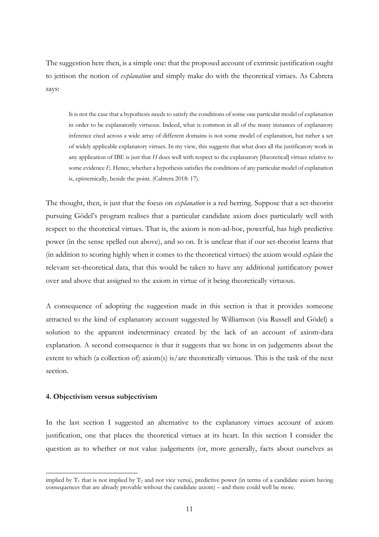The suggestion here then, is a simple one: that the proposed account of extrinsic justification ought to jettison the notion of *explanation* and simply make do with the theoretical virtues. As Cabrera says:

It is not the case that a hypothesis needs to satisfy the conditions of some one particular model of explanation in order to be explanatorily virtuous. Indeed, what is common in all of the many instances of explanatory inference cited across a wide array of different domains is not some model of explanation, but rather a set of widely applicable explanatory virtues. In my view, this suggests that what does all the justificatory work in any application of IBE is just that *H* does well with respect to the explanatory [theoretical] virtues relative to some evidence *E*. Hence, whether a hypothesis satisfies the conditions of any particular model of explanation is, epistemically, beside the point*.* (Cabrera 2018: 17).

The thought, then, is just that the focus on *explanation* is a red herring. Suppose that a set-theorist pursuing Gödel's program realises that a particular candidate axiom does particularly well with respect to the theoretical virtues. That is, the axiom is non-ad-hoc, powerful, has high predictive power (in the sense spelled out above), and so on. It is unclear that if our set-theorist learns that (in addition to scoring highly when it comes to the theoretical virtues) the axiom would *explain* the relevant set-theoretical data, that this would be taken to have any additional justificatory power over and above that assigned to the axiom in virtue of it being theoretically virtuous.

A consequence of adopting the suggestion made in this section is that it provides someone attracted to the kind of explanatory account suggested by Williamson (via Russell and Gödel) a solution to the apparent indeterminacy created by the lack of an account of axiom-data explanation. A second consequence is that it suggests that we hone in on judgements about the extent to which (a collection of) axiom(s) is/are theoretically virtuous. This is the task of the next section.

### **4. Objectivism versus subjectivism**

In the last section I suggested an alternative to the explanatory virtues account of axiom justification, one that places the theoretical virtues at its heart. In this section I consider the question as to whether or not value judgements (or, more generally, facts about ourselves as

implied by  $T_1$  that is not implied by  $T_2$  and not vice versa), predictive power (in terms of a candidate axiom having consequences that are already provable without the candidate axiom) – and there could well be more.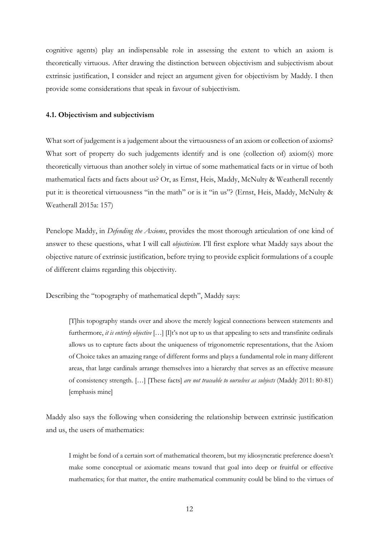cognitive agents) play an indispensable role in assessing the extent to which an axiom is theoretically virtuous. After drawing the distinction between objectivism and subjectivism about extrinsic justification, I consider and reject an argument given for objectivism by Maddy. I then provide some considerations that speak in favour of subjectivism.

### **4.1. Objectivism and subjectivism**

What sort of judgement is a judgement about the virtuousness of an axiom or collection of axioms? What sort of property do such judgements identify and is one (collection of) axiom(s) more theoretically virtuous than another solely in virtue of some mathematical facts or in virtue of both mathematical facts and facts about us? Or, as Ernst, Heis, Maddy, McNulty & Weatherall recently put it: is theoretical virtuousness "in the math" or is it "in us"? (Ernst, Heis, Maddy, McNulty & Weatherall 2015a: 157)

Penelope Maddy, in *Defending the Axioms*, provides the most thorough articulation of one kind of answer to these questions, what I will call *objectivism*. I'll first explore what Maddy says about the objective nature of extrinsic justification, before trying to provide explicit formulations of a couple of different claims regarding this objectivity.

Describing the "topography of mathematical depth", Maddy says:

[T]his topography stands over and above the merely logical connections between statements and furthermore, *it is entirely objective* […] [I]t's not up to us that appealing to sets and transfinite ordinals allows us to capture facts about the uniqueness of trigonometric representations, that the Axiom of Choice takes an amazing range of different forms and plays a fundamental role in many different areas, that large cardinals arrange themselves into a hierarchy that serves as an effective measure of consistency strength. […] [These facts] *are not traceable to ourselves as subjects* (Maddy 2011: 80-81) [emphasis mine]

Maddy also says the following when considering the relationship between extrinsic justification and us, the users of mathematics:

I might be fond of a certain sort of mathematical theorem, but my idiosyncratic preference doesn't make some conceptual or axiomatic means toward that goal into deep or fruitful or effective mathematics; for that matter, the entire mathematical community could be blind to the virtues of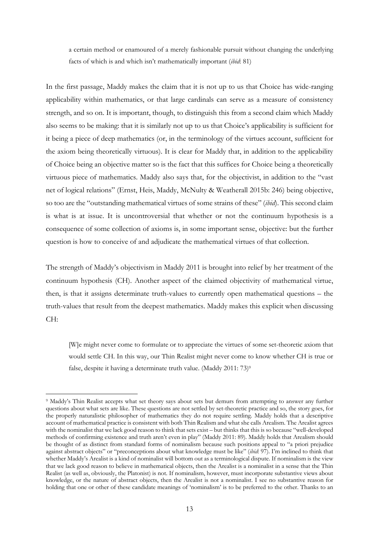a certain method or enamoured of a merely fashionable pursuit without changing the underlying facts of which is and which isn't mathematically important (*ibid*: 81)

In the first passage, Maddy makes the claim that it is not up to us that Choice has wide-ranging applicability within mathematics, or that large cardinals can serve as a measure of consistency strength, and so on. It is important, though, to distinguish this from a second claim which Maddy also seems to be making: that it is similarly not up to us that Choice's applicability is sufficient for it being a piece of deep mathematics (or, in the terminology of the virtues account, sufficient for the axiom being theoretically virtuous). It is clear for Maddy that, in addition to the applicability of Choice being an objective matter so is the fact that this suffices for Choice being a theoretically virtuous piece of mathematics. Maddy also says that, for the objectivist, in addition to the "vast net of logical relations" (Ernst, Heis, Maddy, McNulty & Weatherall 2015b: 246) being objective, so too are the "outstanding mathematical virtues of some strains of these" (*ibid*). This second claim is what is at issue. It is uncontroversial that whether or not the continuum hypothesis is a consequence of some collection of axioms is, in some important sense, objective: but the further question is how to conceive of and adjudicate the mathematical virtues of that collection.

The strength of Maddy's objectivism in Maddy 2011 is brought into relief by her treatment of the continuum hypothesis (CH). Another aspect of the claimed objectivity of mathematical virtue, then, is that it assigns determinate truth-values to currently open mathematical questions – the truth-values that result from the deepest mathematics. Maddy makes this explicit when discussing CH:

[W]e might never come to formulate or to appreciate the virtues of some set-theoretic axiom that would settle CH. In this way, our Thin Realist might never come to know whether CH is true or false, despite it having a determinate truth value. (Maddy 2011: 73)9

<sup>9</sup> Maddy's Thin Realist accepts what set theory says about sets but demurs from attempting to answer any further questions about what sets are like. These questions are not settled by set-theoretic practice and so, the story goes, for the properly naturalistic philosopher of mathematics they do not require settling. Maddy holds that a descriptive account of mathematical practice is consistent with both Thin Realism and what she calls Arealism. The Arealist agrees with the nominalist that we lack good reason to think that sets exist – but thinks that this is so because "well-developed methods of confirming existence and truth aren't even in play" (Maddy 2011: 89). Maddy holds that Arealism should be thought of as distinct from standard forms of nominalism because such positions appeal to "a priori prejudice against abstract objects" or "preconceptions about what knowledge must be like" (*ibid*: 97). I'm inclined to think that whether Maddy's Arealist is a kind of nominalist will bottom out as a terminological dispute. If nominalism is the view that we lack good reason to believe in mathematical objects, then the Arealist is a nominalist in a sense that the Thin Realist (as well as, obviously, the Platonist) is not. If nominalism, however, must incorporate substantive views about knowledge, or the nature of abstract objects, then the Arealist is not a nominalist. I see no substantive reason for holding that one or other of these candidate meanings of 'nominalism' is to be preferred to the other. Thanks to an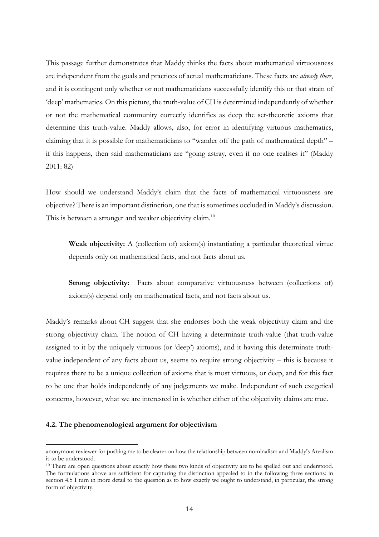This passage further demonstrates that Maddy thinks the facts about mathematical virtuousness are independent from the goals and practices of actual mathematicians. These facts are *already there*, and it is contingent only whether or not mathematicians successfully identify this or that strain of 'deep' mathematics. On this picture, the truth-value of CH is determined independently of whether or not the mathematical community correctly identifies as deep the set-theoretic axioms that determine this truth-value. Maddy allows, also, for error in identifying virtuous mathematics, claiming that it is possible for mathematicians to "wander off the path of mathematical depth" – if this happens, then said mathematicians are "going astray, even if no one realises it" (Maddy 2011: 82)

How should we understand Maddy's claim that the facts of mathematical virtuousness are objective? There is an important distinction, one that is sometimes occluded in Maddy's discussion. This is between a stronger and weaker objectivity claim.<sup>10</sup>

**Weak objectivity:** A (collection of) axiom(s) instantiating a particular theoretical virtue depends only on mathematical facts, and not facts about us.

**Strong objectivity:** Facts about comparative virtuousness between (collections of) axiom(s) depend only on mathematical facts, and not facts about us.

Maddy's remarks about CH suggest that she endorses both the weak objectivity claim and the strong objectivity claim. The notion of CH having a determinate truth-value (that truth-value assigned to it by the uniquely virtuous (or 'deep') axioms), and it having this determinate truthvalue independent of any facts about us, seems to require strong objectivity – this is because it requires there to be a unique collection of axioms that is most virtuous, or deep, and for this fact to be one that holds independently of any judgements we make. Independent of such exegetical concerns, however, what we are interested in is whether either of the objectivity claims are true.

### **4.2. The phenomenological argument for objectivism**

anonymous reviewer for pushing me to be clearer on how the relationship between nominalism and Maddy's Arealism is to be understood.

<sup>&</sup>lt;sup>10</sup> There are open questions about exactly how these two kinds of objectivity are to be spelled out and understood. The formulations above are sufficient for capturing the distinction appealed to in the following three sections: in section 4.5 I turn in more detail to the question as to how exactly we ought to understand, in particular, the strong form of objectivity.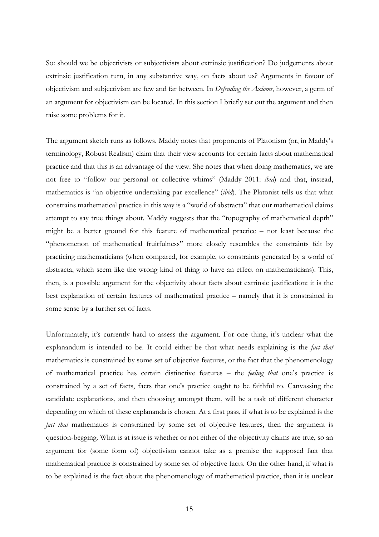So: should we be objectivists or subjectivists about extrinsic justification? Do judgements about extrinsic justification turn, in any substantive way, on facts about us? Arguments in favour of objectivism and subjectivism are few and far between. In *Defending the Axioms*, however, a germ of an argument for objectivism can be located. In this section I briefly set out the argument and then raise some problems for it.

The argument sketch runs as follows. Maddy notes that proponents of Platonism (or, in Maddy's terminology, Robust Realism) claim that their view accounts for certain facts about mathematical practice and that this is an advantage of the view. She notes that when doing mathematics, we are not free to "follow our personal or collective whims" (Maddy 2011: *ibid*) and that, instead, mathematics is "an objective undertaking par excellence" (*ibid*). The Platonist tells us that what constrains mathematical practice in this way is a "world of abstracta" that our mathematical claims attempt to say true things about. Maddy suggests that the "topography of mathematical depth" might be a better ground for this feature of mathematical practice – not least because the "phenomenon of mathematical fruitfulness" more closely resembles the constraints felt by practicing mathematicians (when compared, for example, to constraints generated by a world of abstracta, which seem like the wrong kind of thing to have an effect on mathematicians). This, then, is a possible argument for the objectivity about facts about extrinsic justification: it is the best explanation of certain features of mathematical practice – namely that it is constrained in some sense by a further set of facts.

Unfortunately, it's currently hard to assess the argument. For one thing, it's unclear what the explanandum is intended to be. It could either be that what needs explaining is the *fact that*  mathematics is constrained by some set of objective features, or the fact that the phenomenology of mathematical practice has certain distinctive features – the *feeling that* one's practice is constrained by a set of facts, facts that one's practice ought to be faithful to. Canvassing the candidate explanations, and then choosing amongst them, will be a task of different character depending on which of these explananda is chosen. At a first pass, if what is to be explained is the *fact that* mathematics is constrained by some set of objective features, then the argument is question-begging. What is at issue is whether or not either of the objectivity claims are true, so an argument for (some form of) objectivism cannot take as a premise the supposed fact that mathematical practice is constrained by some set of objective facts. On the other hand, if what is to be explained is the fact about the phenomenology of mathematical practice, then it is unclear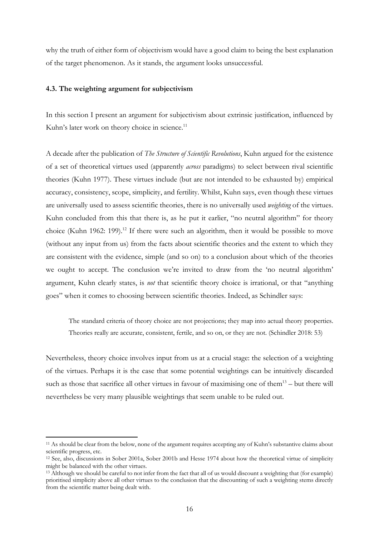why the truth of either form of objectivism would have a good claim to being the best explanation of the target phenomenon. As it stands, the argument looks unsuccessful.

### **4.3. The weighting argument for subjectivism**

In this section I present an argument for subjectivism about extrinsic justification, influenced by Kuhn's later work on theory choice in science.<sup>11</sup>

A decade after the publication of *The Structure of Scientific Revolutions*, Kuhn argued for the existence of a set of theoretical virtues used (apparently *across* paradigms) to select between rival scientific theories (Kuhn 1977). These virtues include (but are not intended to be exhausted by) empirical accuracy, consistency, scope, simplicity, and fertility. Whilst, Kuhn says, even though these virtues are universally used to assess scientific theories, there is no universally used *weighting* of the virtues. Kuhn concluded from this that there is, as he put it earlier, "no neutral algorithm" for theory choice (Kuhn 1962: 199).<sup>12</sup> If there were such an algorithm, then it would be possible to move (without any input from us) from the facts about scientific theories and the extent to which they are consistent with the evidence, simple (and so on) to a conclusion about which of the theories we ought to accept. The conclusion we're invited to draw from the 'no neutral algorithm' argument, Kuhn clearly states, is *not* that scientific theory choice is irrational, or that "anything goes" when it comes to choosing between scientific theories. Indeed, as Schindler says:

The standard criteria of theory choice are not projections; they map into actual theory properties. Theories really are accurate, consistent, fertile, and so on, or they are not. (Schindler 2018: 53)

Nevertheless, theory choice involves input from us at a crucial stage: the selection of a weighting of the virtues. Perhaps it is the case that some potential weightings can be intuitively discarded such as those that sacrifice all other virtues in favour of maximising one of them<sup>13</sup> – but there will nevertheless be very many plausible weightings that seem unable to be ruled out.

<sup>11</sup> As should be clear from the below, none of the argument requires accepting any of Kuhn's substantive claims about scientific progress, etc.

<sup>12</sup> See, also, discussions in Sober 2001a, Sober 2001b and Hesse 1974 about how the theoretical virtue of simplicity might be balanced with the other virtues.

<sup>13</sup> Although we should be careful to not infer from the fact that all of us would discount a weighting that (for example) prioritised simplicity above all other virtues to the conclusion that the discounting of such a weighting stems directly from the scientific matter being dealt with.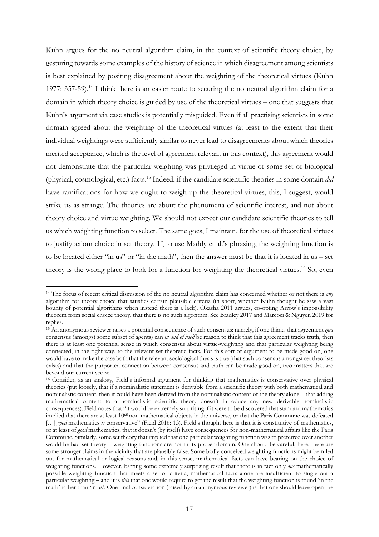Kuhn argues for the no neutral algorithm claim, in the context of scientific theory choice, by gesturing towards some examples of the history of science in which disagreement among scientists is best explained by positing disagreement about the weighting of the theoretical virtues (Kuhn 1977: 357-59).<sup>14</sup> I think there is an easier route to securing the no neutral algorithm claim for a domain in which theory choice is guided by use of the theoretical virtues – one that suggests that Kuhn's argument via case studies is potentially misguided. Even if all practising scientists in some domain agreed about the weighting of the theoretical virtues (at least to the extent that their individual weightings were sufficiently similar to never lead to disagreements about which theories merited acceptance, which is the level of agreement relevant in this context), this agreement would not demonstrate that the particular weighting was privileged in virtue of some set of biological (physical, cosmological, etc.) facts.15 Indeed, if the candidate scientific theories in some domain *did*  have ramifications for how we ought to weigh up the theoretical virtues, this, I suggest, would strike us as strange. The theories are about the phenomena of scientific interest, and not about theory choice and virtue weighting. We should not expect our candidate scientific theories to tell us which weighting function to select. The same goes, I maintain, for the use of theoretical virtues to justify axiom choice in set theory. If, to use Maddy et al.'s phrasing, the weighting function is to be located either "in us" or "in the math", then the answer must be that it is located in us – set theory is the wrong place to look for a function for weighting the theoretical virtues.<sup>16</sup> So, even

<sup>14</sup> The focus of recent critical discussion of the no neutral algorithm claim has concerned whether or not there is *any*  algorithm for theory choice that satisfies certain plausible criteria (in short, whether Kuhn thought he saw a vast bounty of potential algorithms when instead there is a lack). Okasha 2011 argues, co-opting Arrow's impossibility theorem from social choice theory, that there is no such algorithm. See Bradley 2017 and Marcoci & Nguyen 2019 for replies.

<sup>15</sup> An anonymous reviewer raises a potential consequence of such consensus: namely, if one thinks that agreement *qua*  consensus (amongst some subset of agents) can *in and of itself* be reason to think that this agreement tracks truth, then there is at least one potential sense in which consensus about virtue-weighting and that particular weighting being connected, in the right way, to the relevant set-theoretic facts. For this sort of argument to be made good on, one would have to make the case both that the relevant sociological thesis is true (that such consensus amongst set theorists exists) and that the purported connection between consensus and truth can be made good on, two matters that are beyond our current scope.

<sup>16</sup> Consider, as an analogy, Field's informal argument for thinking that mathematics is conservative over physical theories (put loosely, that if a nominalistic statement is derivable from a scientific theory with both mathematical and nominalistic content, then it could have been derived from the nominalistic content of the theory alone – that adding mathematical content to a nominalistic scientific theory doesn't introduce any new derivable nominalistic consequences). Field notes that "it would be extremely surprising if it were to be discovered that standard mathematics implied that there are at least 1060 non-mathematical objects in the universe, or that the Paris Commune was defeated [...] *good* mathematics *is* conservative" (Field 2016: 13). Field's thought here is that it is constitutive of mathematics, or at least of *good* mathematics, that it doesn't (by itself) have consequences for non-mathematical affairs like the Paris Commune. Similarly, some set theory that implied that one particular weighting function was to preferred over another would be bad set theory – weighting functions are not in its proper domain. One should be careful, here: there are some stronger claims in the vicinity that are plausibly false. Some badly-conceived weighting functions might be ruled out for mathematical or logical reasons and, in this sense, mathematical facts can have bearing on the choice of weighting functions. However, barring some extremely surprising result that there is in fact only *one* mathematically possible weighting function that meets a set of criteria, mathematical facts alone are insufficient to single out a particular weighting – and it is *this* that one would require to get the result that the weighting function is found 'in the math' rather than 'in us'. One final consideration (raised by an anonymous reviewer) is that one should leave open the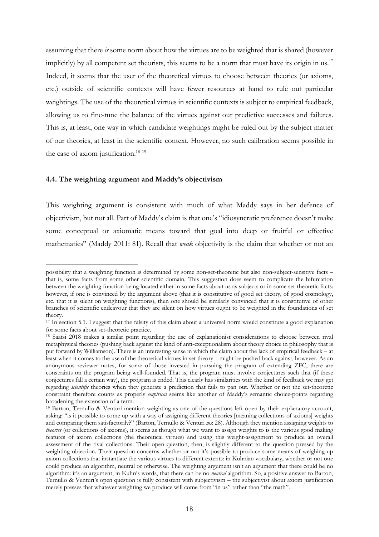assuming that there *is* some norm about how the virtues are to be weighted that is shared (however implicitly) by all competent set theorists, this seems to be a norm that must have its origin in us.<sup>17</sup> Indeed, it seems that the user of the theoretical virtues to choose between theories (or axioms, etc.) outside of scientific contexts will have fewer resources at hand to rule out particular weightings. The use of the theoretical virtues in scientific contexts is subject to empirical feedback, allowing us to fine-tune the balance of the virtues against our predictive successes and failures. This is, at least, one way in which candidate weightings might be ruled out by the subject matter of our theories, at least in the scientific context. However, no such calibration seems possible in the case of axiom justification.<sup>18 19</sup>

### **4.4. The weighting argument and Maddy's objectivism**

This weighting argument is consistent with much of what Maddy says in her defence of objectivism, but not all. Part of Maddy's claim is that one's "idiosyncratic preference doesn't make some conceptual or axiomatic means toward that goal into deep or fruitful or effective mathematics" (Maddy 2011: 81). Recall that *weak* objectivity is the claim that whether or not an

possibility that a weighting function is determined by some non-set-theoretic but also non-subject-sensitive facts – that is, some facts from some other scientific domain. This suggestion does seem to complicate the bifurcation between the weighting function being located either in some facts about us as subjects or in some set-theoretic facts: however, if one is convinced by the argument above (that it is constitutive of good set theory, of good cosmology, etc. that it is silent on weighting functions), then one should be similarly convinced that it is constitutive of other branches of scientific endeavour that they are silent on how virtues ought to be weighted in the foundations of set theory.

<sup>&</sup>lt;sup>17</sup> In section 5.1. I suggest that the falsity of this claim about a universal norm would constitute a good explanation for some facts about set-theoretic practice.

<sup>18</sup> Saatsi 2018 makes a similar point regarding the use of explanationist considerations to choose between rival metaphysical theories (pushing back against the kind of anti-exceptionalism about theory choice in philosophy that is put forward by Williamson). There is an interesting sense in which the claim about the lack of empirical feedback – at least when it comes to the use of the theoretical virtues in set theory – might be pushed back against, however. As an anonymous reviewer notes, for some of those invested in pursuing the program of extending ZFC, there are constraints on the program being well-founded. That is, the program must involve conjectures such that (if these conjectures fall a certain way), the program is ended. This clearly has similarities with the kind of feedback we may get regarding *scientific* theories when they generate a prediction that fails to pan out. Whether or not the set-theoretic constraint therefore counts as properly *empirical* seems like another of Maddy's semantic choice-points regarding broadening the extension of a term.

<sup>19</sup> Barton, Ternullo & Venturi mention weighting as one of the questions left open by their explanatory account, asking: "is it possible to come up with a way of assigning different theories [meaning collections of axioms] weights and comparing them satisfactorily?" (Barton, Ternullo & Venturi *ms*: 28). Although they mention assigning weights to *theories* (or collections of axioms), it seems as though what we want to assign weights to is the various good making features of axiom collections (the theoretical virtues) and using this weight-assignment to produce an overall assessment of the rival collections. Their open question, then, is slightly different to the question pressed by the weighting objection. Their question concerns whether or not it's possible to produce some means of weighing up axiom collections that instantiate the various virtues to different extents: in Kuhnian vocabulary, whether or not one could produce an algorithm, neutral or otherwise. The weighting argument isn't an argument that there could be no algorithm: it's an argument, in Kuhn's words, that there can be no *neutral* algorithm. So, a positive answer to Barton, Ternullo & Venturi's open question is fully consistent with subjectivism – the subjectivist about axiom justification merely presses that whatever weighting we produce will come from "in us" rather than "the math".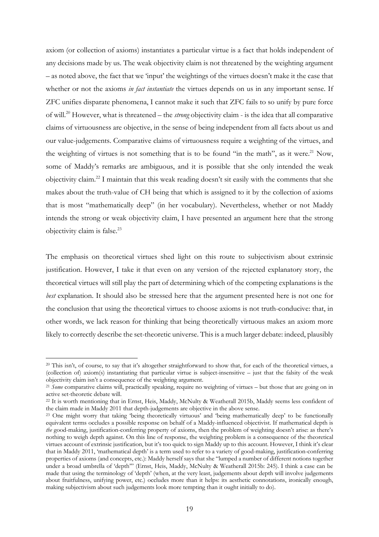axiom (or collection of axioms) instantiates a particular virtue is a fact that holds independent of any decisions made by us. The weak objectivity claim is not threatened by the weighting argument – as noted above, the fact that we 'input' the weightings of the virtues doesn't make it the case that whether or not the axioms *in fact instantiate* the virtues depends on us in any important sense. If ZFC unifies disparate phenomena, I cannot make it such that ZFC fails to so unify by pure force of will.20 However, what is threatened – the *strong* objectivity claim - is the idea that all comparative claims of virtuousness are objective, in the sense of being independent from all facts about us and our value-judgements. Comparative claims of virtuousness require a weighting of the virtues, and the weighting of virtues is not something that is to be found "in the math", as it were.<sup>21</sup> Now, some of Maddy's remarks are ambiguous, and it is possible that she only intended the weak objectivity claim.22 I maintain that this weak reading doesn't sit easily with the comments that she makes about the truth-value of CH being that which is assigned to it by the collection of axioms that is most "mathematically deep" (in her vocabulary). Nevertheless, whether or not Maddy intends the strong or weak objectivity claim, I have presented an argument here that the strong objectivity claim is false.23

The emphasis on theoretical virtues shed light on this route to subjectivism about extrinsic justification. However, I take it that even on any version of the rejected explanatory story, the theoretical virtues will still play the part of determining which of the competing explanations is the *best* explanation. It should also be stressed here that the argument presented here is not one for the conclusion that using the theoretical virtues to choose axioms is not truth-conducive: that, in other words, we lack reason for thinking that being theoretically virtuous makes an axiom more likely to correctly describe the set-theoretic universe. This is a much larger debate: indeed, plausibly

<sup>&</sup>lt;sup>20</sup> This isn't, of course, to say that it's altogether straightforward to show that, for each of the theoretical virtues, a (collection of) axiom(s) instantiating that particular virtue is subject-insensitive – just that the falsity of the weak objectivity claim isn't a consequence of the weighting argument.

<sup>&</sup>lt;sup>21</sup> *Some* comparative claims will, practically speaking, require no weighting of virtues – but those that are going on in active set-theoretic debate will.

<sup>&</sup>lt;sup>22</sup> It is worth mentioning that in Ernst, Heis, Maddy, McNulty & Weatherall 2015b, Maddy seems less confident of the claim made in Maddy 2011 that depth-judgements are objective in the above sense.

<sup>23</sup> One might worry that taking 'being theoretically virtuous' and 'being mathematically deep' to be functionally equivalent terms occludes a possible response on behalf of a Maddy-influenced objectivist. If mathematical depth is *the* good-making, justification-conferring property of axioms, then the problem of weighting doesn't arise: as there's nothing to weigh depth against. On this line of response, the weighting problem is a consequence of the theoretical virtues account of extrinsic justification, but it's too quick to sign Maddy up to this account. However, I think it's clear that in Maddy 2011, 'mathematical depth' is a term used to refer to a variety of good-making, justification-conferring properties of axioms (and concepts, etc.): Maddy herself says that she "lumped a number of different notions together under a broad umbrella of 'depth'" (Ernst, Heis, Maddy, McNulty & Weatherall 2015b: 245). I think a case can be made that using the terminology of 'depth' (when, at the very least, judgements about depth will involve judgements about fruitfulness, unifying power, etc.) occludes more than it helps: its aesthetic connotations, ironically enough, making subjectivism about such judgements look more tempting than it ought initially to do).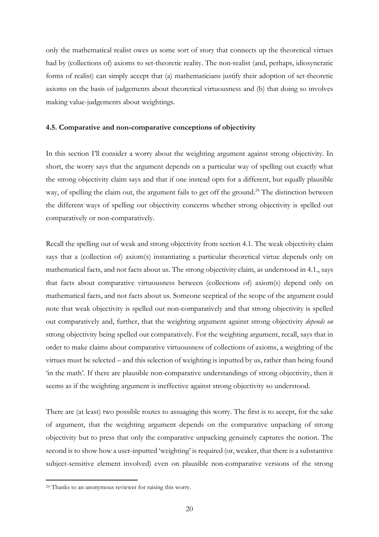only the mathematical realist owes us some sort of story that connects up the theoretical virtues had by (collections of) axioms to set-theoretic reality. The non-realist (and, perhaps, idiosyncratic forms of realist) can simply accept that (a) mathematicians justify their adoption of set-theoretic axioms on the basis of judgements about theoretical virtuousness and (b) that doing so involves making value-judgements about weightings.

#### **4.5. Comparative and non-comparative conceptions of objectivity**

In this section I'll consider a worry about the weighting argument against strong objectivity. In short, the worry says that the argument depends on a particular way of spelling out exactly what the strong objectivity claim says and that if one instead opts for a different, but equally plausible way, of spelling the claim out, the argument fails to get off the ground.<sup>24</sup> The distinction between the different ways of spelling out objectivity concerns whether strong objectivity is spelled out comparatively or non-comparatively.

Recall the spelling out of weak and strong objectivity from section 4.1. The weak objectivity claim says that a (collection of) axiom(s) instantiating a particular theoretical virtue depends only on mathematical facts, and not facts about us. The strong objectivity claim, as understood in 4.1., says that facts about comparative virtuousness between (collections of) axiom(s) depend only on mathematical facts, and not facts about us. Someone sceptical of the scope of the argument could note that weak objectivity is spelled out non-comparatively and that strong objectivity is spelled out comparatively and, further, that the weighting argument against strong objectivity *depends on*  strong objectivity being spelled out comparatively. For the weighting argument, recall, says that in order to make claims about comparative virtuousness of collections of axioms, a weighting of the virtues must be selected – and this selection of weighting is inputted by us, rather than being found 'in the math'. If there are plausible non-comparative understandings of strong objectivity, then it seems as if the weighting argument is ineffective against strong objectivity so understood.

There are (at least) two possible routes to assuaging this worry. The first is to accept, for the sake of argument, that the weighting argument depends on the comparative unpacking of strong objectivity but to press that only the comparative unpacking genuinely captures the notion. The second is to show how a user-inputted 'weighting' is required (or, weaker, that there is a substantive subject-sensitive element involved) even on plausible non-comparative versions of the strong

<sup>24</sup> Thanks to an anonymous reviewer for raising this worry.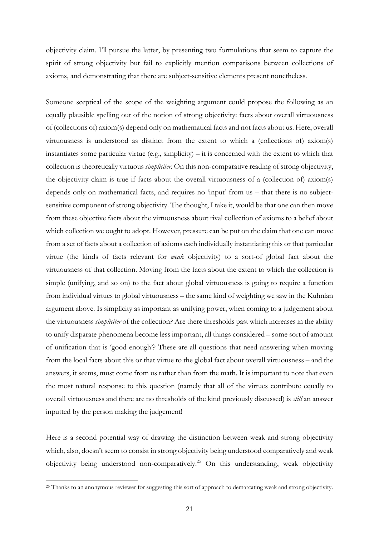objectivity claim. I'll pursue the latter, by presenting two formulations that seem to capture the spirit of strong objectivity but fail to explicitly mention comparisons between collections of axioms, and demonstrating that there are subject-sensitive elements present nonetheless.

Someone sceptical of the scope of the weighting argument could propose the following as an equally plausible spelling out of the notion of strong objectivity: facts about overall virtuousness of (collections of) axiom(s) depend only on mathematical facts and not facts about us. Here, overall virtuousness is understood as distinct from the extent to which a (collections of) axiom(s) instantiates some particular virtue  $(e.g., simplicity) - it$  is concerned with the extent to which that collection is theoretically virtuous *simpliciter*. On this non-comparative reading of strong objectivity, the objectivity claim is true if facts about the overall virtuousness of a (collection of) axiom(s) depends only on mathematical facts, and requires no 'input' from us – that there is no subjectsensitive component of strong objectivity. The thought, I take it, would be that one can then move from these objective facts about the virtuousness about rival collection of axioms to a belief about which collection we ought to adopt. However, pressure can be put on the claim that one can move from a set of facts about a collection of axioms each individually instantiating this or that particular virtue (the kinds of facts relevant for *weak* objectivity) to a sort-of global fact about the virtuousness of that collection. Moving from the facts about the extent to which the collection is simple (unifying, and so on) to the fact about global virtuousness is going to require a function from individual virtues to global virtuousness – the same kind of weighting we saw in the Kuhnian argument above. Is simplicity as important as unifying power, when coming to a judgement about the virtuousness *simpliciter* of the collection? Are there thresholds past which increases in the ability to unify disparate phenomena become less important, all things considered – some sort of amount of unification that is 'good enough'? These are all questions that need answering when moving from the local facts about this or that virtue to the global fact about overall virtuousness – and the answers, it seems, must come from us rather than from the math. It is important to note that even the most natural response to this question (namely that all of the virtues contribute equally to overall virtuousness and there are no thresholds of the kind previously discussed) is *still* an answer inputted by the person making the judgement!

Here is a second potential way of drawing the distinction between weak and strong objectivity which, also, doesn't seem to consist in strong objectivity being understood comparatively and weak objectivity being understood non-comparatively.25 On this understanding, weak objectivity

<sup>&</sup>lt;sup>25</sup> Thanks to an anonymous reviewer for suggesting this sort of approach to demarcating weak and strong objectivity.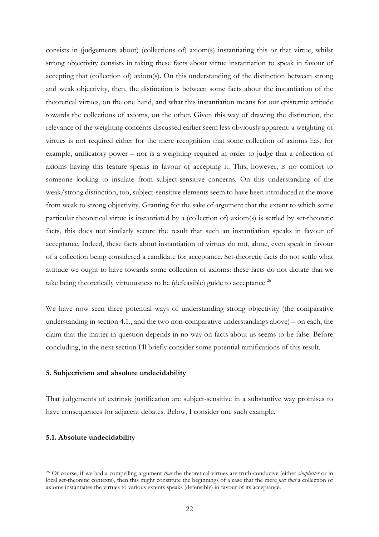consists in (judgements about) (collections of) axiom(s) instantiating this or that virtue, whilst strong objectivity consists in taking these facts about virtue instantiation to speak in favour of accepting that (collection of) axiom(s). On this understanding of the distinction between strong and weak objectivity, then, the distinction is between some facts about the instantiation of the theoretical virtues, on the one hand, and what this instantiation means for our epistemic attitude towards the collections of axioms, on the other. Given this way of drawing the distinction, the relevance of the weighting concerns discussed earlier seem less obviously apparent: a weighting of virtues is not required either for the mere recognition that some collection of axioms has, for example, unificatory power – nor is a weighting required in order to judge that a collection of axioms having this feature speaks in favour of accepting it. This, however, is no comfort to someone looking to insulate from subject-sensitive concerns. On this understanding of the weak/strong distinction, too, subject-sensitive elements seem to have been introduced at the move from weak to strong objectivity. Granting for the sake of argument that the extent to which some particular theoretical virtue is instantiated by a (collection of) axiom(s) is settled by set-theoretic facts, this does not similarly secure the result that such an instantiation speaks in favour of acceptance. Indeed, these facts about instantiation of virtues do not, alone, even speak in favour of a collection being considered a candidate for acceptance. Set-theoretic facts do not settle what attitude we ought to have towards some collection of axioms: these facts do not dictate that we take being theoretically virtuousness to be (defeasible) guide to acceptance.<sup>26</sup>

We have now seen three potential ways of understanding strong objectivity (the comparative understanding in section 4.1., and the two non-comparative understandings above) – on each, the claim that the matter in question depends in no way on facts about us seems to be false. Before concluding, in the next section I'll briefly consider some potential ramifications of this result.

### **5. Subjectivism and absolute undecidability**

That judgements of extrinsic justification are subject-sensitive in a substantive way promises to have consequences for adjacent debates. Below, I consider one such example.

#### **5.1. Absolute undecidability**

<sup>26</sup> Of course, if we had a compelling argument *that* the theoretical virtues are truth-conducive (either *simpliciter* or in local set-theoretic contexts), then this might constitute the beginnings of a case that the mere *fact that* a collection of axioms instantiates the virtues to various extents speaks (defensibly) in favour of its acceptance.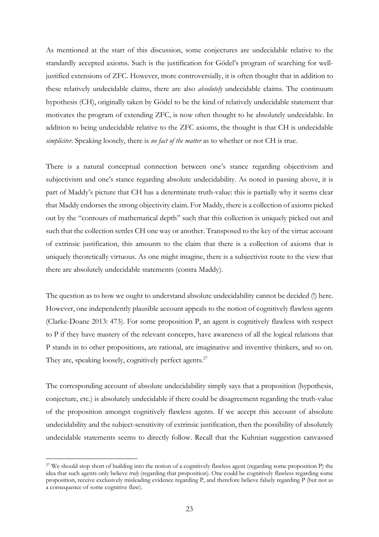As mentioned at the start of this discussion, some conjectures are undecidable relative to the standardly accepted axioms. Such is the justification for Gödel's program of searching for welljustified extensions of ZFC. However, more controversially, it is often thought that in addition to these relatively undecidable claims, there are also *absolutely* undecidable claims. The continuum hypothesis (CH), originally taken by Gödel to be the kind of relatively undecidable statement that motivates the program of extending ZFC, is now often thought to be absolutely undecidable. In addition to being undecidable relative to the ZFC axioms, the thought is that CH is undecidable *simpliciter*. Speaking loosely, there is *no fact of the matter* as to whether or not CH is true.

There is a natural conceptual connection between one's stance regarding objectivism and subjectivism and one's stance regarding absolute undecidability. As noted in passing above, it is part of Maddy's picture that CH has a determinate truth-value: this is partially why it seems clear that Maddy endorses the strong objectivity claim. For Maddy, there is a collection of axioms picked out by the "contours of mathematical depth" such that this collection is uniquely picked out and such that the collection settles CH one way or another. Transposed to the key of the virtue account of extrinsic justification, this amounts to the claim that there is a collection of axioms that is uniquely theoretically virtuous. As one might imagine, there is a subjectivist route to the view that there are absolutely undecidable statements (contra Maddy).

The question as to how we ought to understand absolute undecidability cannot be decided (!) here. However, one independently plausible account appeals to the notion of cognitively flawless agents (Clarke-Doane 2013: 473). For some proposition P, an agent is cognitively flawless with respect to P if they have mastery of the relevant concepts, have awareness of all the logical relations that P stands in to other propositions, are rational, are imaginative and inventive thinkers, and so on. They are, speaking loosely, cognitively perfect agents.<sup>27</sup>

The corresponding account of absolute undecidability simply says that a proposition (hypothesis, conjecture, etc.) is absolutely undecidable if there could be disagreement regarding the truth-value of the proposition amongst cognitively flawless agents. If we accept this account of absolute undecidability and the subject-sensitivity of extrinsic justification, then the possibility of absolutely undecidable statements seems to directly follow. Recall that the Kuhnian suggestion canvassed

<sup>27</sup> We should stop short of building into the notion of a cognitively flawless agent (regarding some proposition P) the idea that such agents only believe *truly* (regarding that proposition). One could be cognitively flawless regarding some proposition, receive exclusively misleading evidence regarding P, and therefore believe falsely regarding P (but not as a consequence of some cognitive flaw).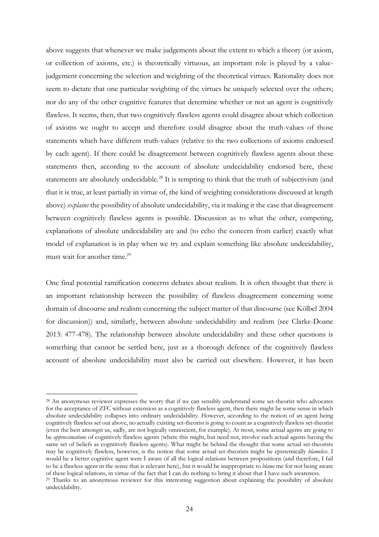above suggests that whenever we make judgements about the extent to which a theory (or axiom, or collection of axioms, etc.) is theoretically virtuous, an important role is played by a valuejudgement concerning the selection and weighting of the theoretical virtues. Rationality does not seem to dictate that one particular weighting of the virtues be uniquely selected over the others; nor do any of the other cognitive features that determine whether or not an agent is cognitively flawless. It seems, then, that two cognitively flawless agents could disagree about which collection of axioms we ought to accept and therefore could disagree about the truth-values of those statements which have different truth-values (relative to the two collections of axioms endorsed by each agent). If there could be disagreement between cognitively flawless agents about these statements then, according to the account of absolute undecidability endorsed here, these statements are absolutely undecidable.<sup>28</sup> It is tempting to think that the truth of subjectivism (and that it is true, at least partially in virtue of, the kind of weighting considerations discussed at length above) *explains* the possibility of absolute undecidability, via it making it the case that disagreement between cognitively flawless agents is possible. Discussion as to what the other, competing, explanations of absolute undecidability are and (to echo the concern from earlier) exactly what model of explanation is in play when we try and explain something like absolute undecidability, must wait for another time.<sup>29</sup>

One final potential ramification concerns debates about realism. It is often thought that there is an important relationship between the possibility of flawless disagreement concerning some domain of discourse and realism concerning the subject matter of that discourse (see Kölbel 2004 for discussion)) and, similarly, between absolute undecidability and realism (see Clarke-Doane 2013: 477-478). The relationship between absolute undecidability and these other questions is something that cannot be settled here, just as a thorough defence of the cognitively flawless account of absolute undecidability must also be carried out elsewhere. However, it has been

<sup>&</sup>lt;sup>28</sup> An anonymous reviewer expresses the worry that if we can sensibly understand some set-theorist who advocates for the acceptance of ZFC without extension as a cognitively flawless agent, then there might be some sense in which absolute undecidability collapses into ordinary undecidability. However, according to the notion of an agent being cognitively flawless set out above, no actually existing set-theorist is going to count as a cognitively flawless set-theorist (even the best amongst us, sadly, are not logically omniscient, for example). At most, some actual agents are going to be *approximations* of cognitively flawless agents (where this might, but need not, involve such actual agents having the same set of beliefs as cognitively flawless agents). What might be behind the thought that some actual set-theorists may be cognitively flawless, however, is the notion that some actual set-theorists might be epistemically *blameless*. I would be a better cognitive agent were I aware of all the logical relations between propositions (and therefore, I fail to be a flawless agent in the sense that is relevant here), but it would be inappropriate to *blame* me for not being aware of these logical relations, in virtue of the fact that I can do nothing to bring it about that I have such awareness. <sup>29</sup> Thanks to an anonymous reviewer for this interesting suggestion about explaining the possibility of absolute undecidability.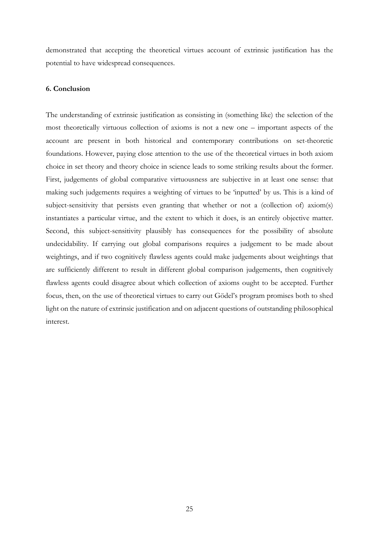demonstrated that accepting the theoretical virtues account of extrinsic justification has the potential to have widespread consequences.

### **6. Conclusion**

The understanding of extrinsic justification as consisting in (something like) the selection of the most theoretically virtuous collection of axioms is not a new one – important aspects of the account are present in both historical and contemporary contributions on set-theoretic foundations. However, paying close attention to the use of the theoretical virtues in both axiom choice in set theory and theory choice in science leads to some striking results about the former. First, judgements of global comparative virtuousness are subjective in at least one sense: that making such judgements requires a weighting of virtues to be 'inputted' by us. This is a kind of subject-sensitivity that persists even granting that whether or not a (collection of) axiom(s) instantiates a particular virtue, and the extent to which it does, is an entirely objective matter. Second, this subject-sensitivity plausibly has consequences for the possibility of absolute undecidability. If carrying out global comparisons requires a judgement to be made about weightings, and if two cognitively flawless agents could make judgements about weightings that are sufficiently different to result in different global comparison judgements, then cognitively flawless agents could disagree about which collection of axioms ought to be accepted. Further focus, then, on the use of theoretical virtues to carry out Gödel's program promises both to shed light on the nature of extrinsic justification and on adjacent questions of outstanding philosophical interest.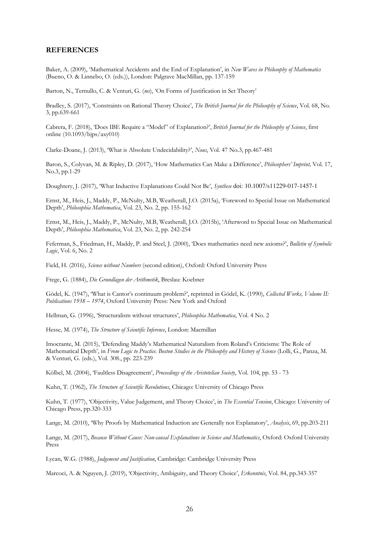#### **REFERENCES**

Baker, A. (2009), 'Mathematical Accidents and the End of Explanation', in *New Waves in Philosophy of Mathematics*  (Bueno, O. & Linnebo, O. (eds.)), London: Palgrave MacMillan, pp. 137-159

Barton, N., Ternullo, C. & Venturi, G. (*ms*), 'On Forms of Justification in Set Theory'

Bradley, S. (2017), 'Constraints on Rational Theory Choice', *The British Journal for the Philosophy of Science*, Vol. 68, No. 3, pp.639-661

Cabrera, F. (2018), 'Does IBE Require a "Model" of Explanation?', *British Journal for the Philosophy of Science*, first online (10.1093/bjps/axy010)

Clarke-Doane, J. (2013), 'What is Absolute Undecidability?', *Nous*, Vol. 47 No.3, pp.467-481

Baron, S., Colyvan, M. & Ripley, D. (2017), 'How Mathematics Can Make a Difference', *Philosophers' Imprint,* Vol. 17, No.3, pp.1-29

Doughtery, J. (2017), 'What Inductive Explanations Could Not Be', *Synthese* doi: 10.1007/s11229-017-1457-1

Ernst, M., Heis, J., Maddy, P., McNulty, M.B, Weatherall, J.O. (2015a), 'Foreword to Special Issue on Mathematical Depth', *Philosophia Mathematica*, Vol. 23, No. 2, pp. 155-162

Ernst, M., Heis, J., Maddy, P., McNulty, M.B, Weatherall, J.O. (2015b), 'Afterword to Special Issue on Mathematical Depth', *Philosophia Mathematica*, Vol. 23, No. 2, pp. 242-254

Feferman, S., Friedman, H., Maddy, P. and Steel, J. (2000), 'Does mathematics need new axioms?', *Bulletin of Symbolic Logic*, Vol. 6, No. 2

Field, H. (2016), *Science without Numbers* (second edition), Oxford: Oxford University Press

Frege, G. (1884), *Die Grundlagen der Arithmetik*, Breslau: Koebner

Gödel, K. (1947), 'What is Cantor's continuum problem?', reprinted in Gödel, K. (1990), *Collected Works, Volume II: Publications 1938 – 1974*, Oxford University Press: New York and Oxford

Hellman, G. (1996), 'Structuralism without structures', *Philosophia Mathematica*, Vol. 4 No. 2

Hesse, M. (1974), *The Structure of Scientific Inference*, London: Macmillan

Imocrante, M. (2015), 'Defending Maddy's Mathematical Naturalism from Roland's Criticisms: The Role of Mathematical Depth', in *From Logic to Practice. Boston Studies in the Philosophy and History of Science* (Lolli, G., Panza, M. & Venturi, G. (eds.), Vol. 308., pp. 223-239

Kölbel, M. (2004), 'Faultless Disagreement', *Proceedings of the Aristotelian Society*, Vol. 104, pp. 53 - 73

Kuhn, T. (1962), *The Structure of Scientific Revolutions*, Chicago: University of Chicago Press

Kuhn, T. (1977), 'Objectivity, Value Judgement, and Theory Choice', in *The Essential Tension*, Chicago: University of Chicago Press, pp.320-333

Lange, M. (2010), 'Why Proofs by Mathematical Induction are Generally not Explanatory', *Analysis*, 69, pp.203-211

Lange, M. (2017), *Because Without Cause: Non-causal Explanations in Science and Mathematics*, Oxford: Oxford University Press

Lycan, W.G. (1988), *Judgement and Justification*, Cambridge: Cambridge University Press

Marcoci, A. & Nguyen, J. (2019), 'Objectivity, Ambiguity, and Theory Choice', *Erkenntnis*, Vol. 84, pp.343-357